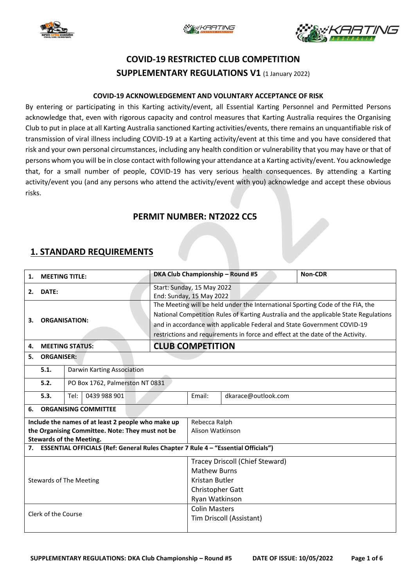





# **COVID-19 RESTRICTED CLUB COMPETITION SUPPLEMENTARY REGULATIONS V1** (1 January 2022)

#### **COVID-19 ACKNOWLEDGEMENT AND VOLUNTARY ACCEPTANCE OF RISK**

By entering or participating in this Karting activity/event, all Essential Karting Personnel and Permitted Persons acknowledge that, even with rigorous capacity and control measures that Karting Australia requires the Organising Club to put in place at all Karting Australia sanctioned Karting activities/events, there remains an unquantifiable risk of transmission of viral illness including COVID-19 at a Karting activity/event at this time and you have considered that risk and your own personal circumstances, including any health condition or vulnerability that you may have or that of persons whom you will be in close contact with following your attendance at a Karting activity/event. You acknowledge that, for a small number of people, COVID-19 has very serious health consequences. By attending a Karting activity/event you (and any persons who attend the activity/event with you) acknowledge and accept these obvious risks.

### **PERMIT NUMBER: NT2022 CC5**

### **1. STANDARD REQUIREMENTS**

| <b>MEETING TITLE:</b><br>1.                                                          |                             |                                 |  |                                                                                | DKA Club Championship - Round #5                                                     | Non-CDR                                                                 |                                 |  |  |
|--------------------------------------------------------------------------------------|-----------------------------|---------------------------------|--|--------------------------------------------------------------------------------|--------------------------------------------------------------------------------------|-------------------------------------------------------------------------|---------------------------------|--|--|
| DATE:<br>2.                                                                          |                             |                                 |  |                                                                                | Start: Sunday, 15 May 2022<br>End: Sunday, 15 May 2022                               |                                                                         |                                 |  |  |
|                                                                                      |                             |                                 |  |                                                                                | The Meeting will be held under the International Sporting Code of the FIA, the       |                                                                         |                                 |  |  |
|                                                                                      |                             |                                 |  |                                                                                | National Competition Rules of Karting Australia and the applicable State Regulations |                                                                         |                                 |  |  |
| З.                                                                                   |                             | <b>ORGANISATION:</b>            |  |                                                                                |                                                                                      | and in accordance with applicable Federal and State Government COVID-19 |                                 |  |  |
|                                                                                      |                             |                                 |  |                                                                                |                                                                                      |                                                                         |                                 |  |  |
|                                                                                      |                             |                                 |  | restrictions and requirements in force and effect at the date of the Activity. |                                                                                      |                                                                         |                                 |  |  |
| 4.                                                                                   | <b>MEETING STATUS:</b>      |                                 |  | <b>CLUB COMPETITION</b>                                                        |                                                                                      |                                                                         |                                 |  |  |
| 5.                                                                                   | <b>ORGANISER:</b>           |                                 |  |                                                                                |                                                                                      |                                                                         |                                 |  |  |
|                                                                                      | 5.1.                        | Darwin Karting Association      |  |                                                                                |                                                                                      |                                                                         |                                 |  |  |
|                                                                                      | 5.2.                        | PO Box 1762, Palmerston NT 0831 |  |                                                                                |                                                                                      |                                                                         |                                 |  |  |
|                                                                                      | 5.3.                        | 0439 988 901<br>Tel:            |  |                                                                                | Email:                                                                               | dkarace@outlook.com                                                     |                                 |  |  |
| 6.                                                                                   | <b>ORGANISING COMMITTEE</b> |                                 |  |                                                                                |                                                                                      |                                                                         |                                 |  |  |
| Include the names of at least 2 people who make up                                   |                             |                                 |  |                                                                                | Rebecca Ralph                                                                        |                                                                         |                                 |  |  |
| the Organising Committee. Note: They must not be                                     |                             |                                 |  |                                                                                |                                                                                      | Alison Watkinson                                                        |                                 |  |  |
| <b>Stewards of the Meeting.</b>                                                      |                             |                                 |  |                                                                                |                                                                                      |                                                                         |                                 |  |  |
| 7. ESSENTIAL OFFICIALS (Ref: General Rules Chapter 7 Rule 4 - "Essential Officials") |                             |                                 |  |                                                                                |                                                                                      |                                                                         |                                 |  |  |
|                                                                                      |                             |                                 |  |                                                                                |                                                                                      |                                                                         | Tracey Driscoll (Chief Steward) |  |  |
| <b>Stewards of The Meeting</b>                                                       |                             |                                 |  |                                                                                | <b>Mathew Burns</b>                                                                  |                                                                         |                                 |  |  |
|                                                                                      |                             |                                 |  |                                                                                | Kristan Butler                                                                       |                                                                         |                                 |  |  |
|                                                                                      |                             |                                 |  |                                                                                |                                                                                      | Christopher Gatt                                                        |                                 |  |  |
|                                                                                      |                             |                                 |  |                                                                                |                                                                                      | Ryan Watkinson                                                          |                                 |  |  |
|                                                                                      |                             |                                 |  |                                                                                |                                                                                      | <b>Colin Masters</b>                                                    |                                 |  |  |
|                                                                                      | Clerk of the Course         |                                 |  |                                                                                |                                                                                      | Tim Driscoll (Assistant)                                                |                                 |  |  |
|                                                                                      |                             |                                 |  |                                                                                |                                                                                      |                                                                         |                                 |  |  |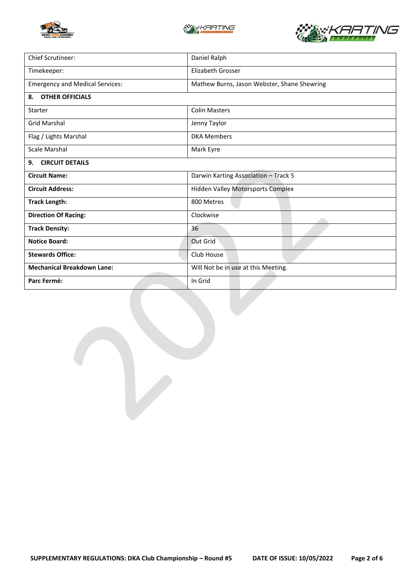





| Chief Scrutineer:                      | Daniel Ralph                                |  |  |
|----------------------------------------|---------------------------------------------|--|--|
| Timekeeper:                            | <b>Elizabeth Grosser</b>                    |  |  |
| <b>Emergency and Medical Services:</b> | Mathew Burns, Jason Webster, Shane Shewring |  |  |
| <b>OTHER OFFICIALS</b><br>8.           |                                             |  |  |
| Starter                                | <b>Colin Masters</b>                        |  |  |
| <b>Grid Marshal</b>                    | Jenny Taylor                                |  |  |
| Flag / Lights Marshal                  | <b>DKA Members</b>                          |  |  |
| Scale Marshal                          | Mark Eyre                                   |  |  |
| <b>CIRCUIT DETAILS</b><br>9.           |                                             |  |  |
| <b>Circuit Name:</b>                   | Darwin Karting Association - Track 5        |  |  |
| <b>Circuit Address:</b>                | <b>Hidden Valley Motorsports Complex</b>    |  |  |
| <b>Track Length:</b>                   | 800 Metres                                  |  |  |
| <b>Direction Of Racing:</b>            | Clockwise                                   |  |  |
| <b>Track Density:</b>                  | 36                                          |  |  |
| <b>Notice Board:</b>                   | Out Grid                                    |  |  |
| <b>Stewards Office:</b>                | Club House                                  |  |  |
| <b>Mechanical Breakdown Lane:</b>      | Will Not be in use at this Meeting.         |  |  |
| Parc Fermé:                            | In Grid                                     |  |  |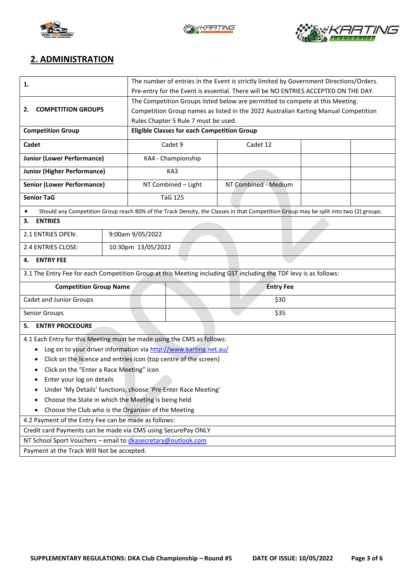





## **2. ADMINISTRATION**

| 1.                                                                                                                                                | The number of entries in the Event is strictly limited by Government Directions/Orders. |                                                                                     |                                      |                                                                                     |  |  |  |
|---------------------------------------------------------------------------------------------------------------------------------------------------|-----------------------------------------------------------------------------------------|-------------------------------------------------------------------------------------|--------------------------------------|-------------------------------------------------------------------------------------|--|--|--|
|                                                                                                                                                   |                                                                                         | Pre-entry for the Event is essential. There will be NO ENTRIES ACCEPTED ON THE DAY. |                                      |                                                                                     |  |  |  |
|                                                                                                                                                   |                                                                                         | The Competition Groups listed below are permitted to compete at this Meeting.       |                                      |                                                                                     |  |  |  |
| <b>COMPETITION GROUPS</b><br>2.                                                                                                                   |                                                                                         |                                                                                     |                                      | Competition Group names as listed in the 2022 Australian Karting Manual Competition |  |  |  |
|                                                                                                                                                   |                                                                                         |                                                                                     | Rules Chapter 5 Rule 7 must be used. |                                                                                     |  |  |  |
| <b>Competition Group</b>                                                                                                                          | <b>Eligible Classes for each Competition Group</b>                                      |                                                                                     |                                      |                                                                                     |  |  |  |
| Cadet                                                                                                                                             |                                                                                         | Cadet 9                                                                             |                                      | Cadet 12                                                                            |  |  |  |
| <b>Junior (Lower Performance)</b>                                                                                                                 |                                                                                         | KA4 - Championship                                                                  |                                      |                                                                                     |  |  |  |
| <b>Junior (Higher Performance)</b>                                                                                                                |                                                                                         | KA3                                                                                 |                                      |                                                                                     |  |  |  |
| <b>Senior (Lower Performance)</b>                                                                                                                 |                                                                                         | NT Combined - Light                                                                 |                                      | NT Combined - Medium                                                                |  |  |  |
| <b>Senior TaG</b>                                                                                                                                 |                                                                                         | <b>TaG 125</b>                                                                      |                                      |                                                                                     |  |  |  |
| Should any Competition Group reach 80% of the Track Density, the Classes in that Competition Group may be split into two (2) groups.<br>$\bullet$ |                                                                                         |                                                                                     |                                      |                                                                                     |  |  |  |
| <b>ENTRIES</b><br>3.                                                                                                                              |                                                                                         |                                                                                     |                                      |                                                                                     |  |  |  |
| 9:00am 9/05/2022<br>2.1 ENTRIES OPEN:                                                                                                             |                                                                                         |                                                                                     |                                      |                                                                                     |  |  |  |
| 2.4 ENTRIES CLOSE:<br>10:30pm 13/05/2022                                                                                                          |                                                                                         |                                                                                     |                                      |                                                                                     |  |  |  |
| <b>ENTRY FEE</b><br>4.                                                                                                                            |                                                                                         |                                                                                     |                                      |                                                                                     |  |  |  |
| 3.1 The Entry Fee for each Competition Group at this Meeting including GST including the TDF levy is as follows:                                  |                                                                                         |                                                                                     |                                      |                                                                                     |  |  |  |
| <b>Competition Group Name</b>                                                                                                                     |                                                                                         |                                                                                     |                                      | <b>Entry Fee</b>                                                                    |  |  |  |
| Cadet and Junior Groups                                                                                                                           |                                                                                         |                                                                                     |                                      | \$30                                                                                |  |  |  |
| Senior Groups                                                                                                                                     |                                                                                         | \$35                                                                                |                                      |                                                                                     |  |  |  |
| <b>ENTRY PROCEDURE</b><br>5.                                                                                                                      |                                                                                         |                                                                                     |                                      |                                                                                     |  |  |  |
| 4.1 Each Entry for this Meeting must be made using the CMS as follows:                                                                            |                                                                                         |                                                                                     |                                      |                                                                                     |  |  |  |
| Log on to your driver information via http://www.karting.net.au/<br>٠                                                                             |                                                                                         |                                                                                     |                                      |                                                                                     |  |  |  |
| Click on the licence and entries icon (top centre of the screen)<br>٠                                                                             |                                                                                         |                                                                                     |                                      |                                                                                     |  |  |  |
| Click on the "Enter a Race Meeting" icon<br>٠                                                                                                     |                                                                                         |                                                                                     |                                      |                                                                                     |  |  |  |
| Enter your log on details                                                                                                                         |                                                                                         |                                                                                     |                                      |                                                                                     |  |  |  |
| Under 'My Details' functions, choose 'Pre Enter Race Meeting'                                                                                     |                                                                                         |                                                                                     |                                      |                                                                                     |  |  |  |
| Choose the State in which the Meeting is being held                                                                                               |                                                                                         |                                                                                     |                                      |                                                                                     |  |  |  |
| Choose the Club who is the Organiser of the Meeting<br>٠                                                                                          |                                                                                         |                                                                                     |                                      |                                                                                     |  |  |  |
| 4.2 Payment of the Entry Fee can be made as follows:                                                                                              |                                                                                         |                                                                                     |                                      |                                                                                     |  |  |  |
| Credit card Payments can be made via CMS using SecurePay ONLY                                                                                     |                                                                                         |                                                                                     |                                      |                                                                                     |  |  |  |
| NT School Sport Vouchers - email to dkasecretary@outlook.com                                                                                      |                                                                                         |                                                                                     |                                      |                                                                                     |  |  |  |
| Payment at the Track Will Not be accepted.                                                                                                        |                                                                                         |                                                                                     |                                      |                                                                                     |  |  |  |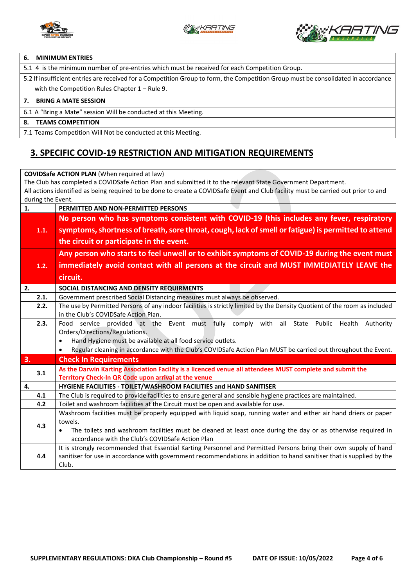



#### **6. MINIMUM ENTRIES**

5.1 4 is the minimum number of pre-entries which must be received for each Competition Group.

5.2 If insufficient entries are received for a Competition Group to form, the Competition Group must be consolidated in accordance with the Competition Rules Chapter 1 – Rule 9.

#### **7. BRING A MATE SESSION**

6.1 A "Bring a Mate" session Will be conducted at this Meeting.

#### **8. TEAMS COMPETITION**

7.1 Teams Competition Will Not be conducted at this Meeting.

## **3. SPECIFIC COVID-19 RESTRICTION AND MITIGATION REQUIREMENTS**

**COVIDSafe ACTION PLAN** (When required at law) The Club has completed a COVIDSafe Action Plan and submitted it to the relevant State Government Department. All actions identified as being required to be done to create a COVIDSafe Event and Club facility must be carried out prior to and during the Event. **1. PERMITTED AND NON-PERMITTED PERSONS 1.1. No person who has symptoms consistent with COVID-19 (this includes any fever, respiratory symptoms, shortness of breath, sore throat, cough, lack of smell or fatigue) is permitted to attend the circuit or participate in the event. 1.2. Any person who starts to feel unwell or to exhibit symptoms of COVID-19 during the event must immediately avoid contact with all persons at the circuit and MUST IMMEDIATELY LEAVE the circuit. 2. SOCIAL DISTANCING AND DENSITY REQUIRMENTS**  2.1. Government prescribed Social Distancing measures must always be observed. **2.2.** The use by Permitted Persons of any indoor facilities is strictly limited by the Density Quotient of the room as included in the Club's COVIDSafe Action Plan. **2.3.** Food service provided at the Event must fully comply with all State Public Health Authority Orders/Directions/Regulations. • Hand Hygiene must be available at all food service outlets. • Regular cleaning in accordance with the Club's COVIDSafe Action Plan MUST be carried out throughout the Event. **3. Check In Requirements 3.1 As the Darwin Karting Association Facility is a licenced venue all attendees MUST complete and submit the Territory Check-In QR Code upon arrival at the venue 4. HYGIENE FACILITIES - TOILET/WASHROOM FACILITIES and HAND SANITISER 4.1** The Club is required to provide facilities to ensure general and sensible hygiene practices are maintained. **4.2** Toilet and washroom facilities at the Circuit must be open and available for use. **4.3** Washroom facilities must be properly equipped with liquid soap, running water and either air hand driers or paper towels. • The toilets and washroom facilities must be cleaned at least once during the day or as otherwise required in accordance with the Club's COVIDSafe Action Plan **4.4** It is strongly recommended that Essential Karting Personnel and Permitted Persons bring their own supply of hand sanitiser for use in accordance with government recommendations in addition to hand sanitiser that is supplied by the Club.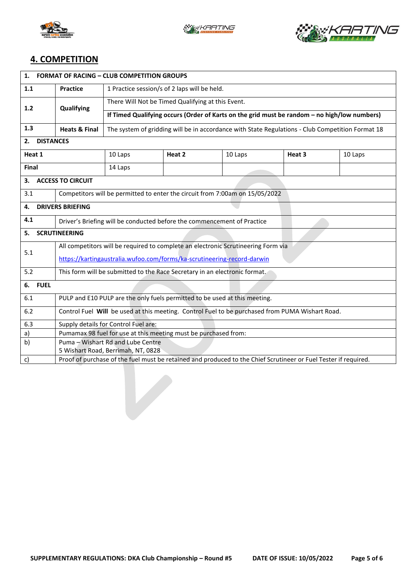





## **4. COMPETITION**

| <b>FORMAT OF RACING - CLUB COMPETITION GROUPS</b><br>1. |                                                                                                                              |                                                                                              |        |         |        |         |  |  |
|---------------------------------------------------------|------------------------------------------------------------------------------------------------------------------------------|----------------------------------------------------------------------------------------------|--------|---------|--------|---------|--|--|
| 1.1                                                     | <b>Practice</b>                                                                                                              | 1 Practice session/s of 2 laps will be held.                                                 |        |         |        |         |  |  |
| 1.2                                                     | Qualifying                                                                                                                   | There Will Not be Timed Qualifying at this Event.                                            |        |         |        |         |  |  |
|                                                         |                                                                                                                              | If Timed Qualifying occurs (Order of Karts on the grid must be random - no high/low numbers) |        |         |        |         |  |  |
| 1.3                                                     | <b>Heats &amp; Final</b><br>The system of gridding will be in accordance with State Regulations - Club Competition Format 18 |                                                                                              |        |         |        |         |  |  |
| <b>DISTANCES</b><br>2.                                  |                                                                                                                              |                                                                                              |        |         |        |         |  |  |
| Heat 1                                                  |                                                                                                                              | 10 Laps                                                                                      | Heat 2 | 10 Laps | Heat 3 | 10 Laps |  |  |
| Final                                                   |                                                                                                                              | 14 Laps                                                                                      |        |         |        |         |  |  |
| <b>ACCESS TO CIRCUIT</b><br>3.                          |                                                                                                                              |                                                                                              |        |         |        |         |  |  |
| 3.1                                                     | Competitors will be permitted to enter the circuit from 7:00am on 15/05/2022                                                 |                                                                                              |        |         |        |         |  |  |
| <b>DRIVERS BRIEFING</b><br>4.                           |                                                                                                                              |                                                                                              |        |         |        |         |  |  |
| 4.1                                                     | Driver's Briefing will be conducted before the commencement of Practice                                                      |                                                                                              |        |         |        |         |  |  |
| <b>SCRUTINEERING</b><br>5.                              |                                                                                                                              |                                                                                              |        |         |        |         |  |  |
| 5.1                                                     | All competitors will be required to complete an electronic Scrutineering Form via                                            |                                                                                              |        |         |        |         |  |  |
|                                                         | https://kartingaustralia.wufoo.com/forms/ka-scrutineering-record-darwin                                                      |                                                                                              |        |         |        |         |  |  |
| 5.2                                                     | This form will be submitted to the Race Secretary in an electronic format.                                                   |                                                                                              |        |         |        |         |  |  |
| 6. FUEL                                                 |                                                                                                                              |                                                                                              |        |         |        |         |  |  |
| 6.1                                                     | PULP and E10 PULP are the only fuels permitted to be used at this meeting.                                                   |                                                                                              |        |         |        |         |  |  |
| 6.2                                                     | Control Fuel Will be used at this meeting. Control Fuel to be purchased from PUMA Wishart Road.                              |                                                                                              |        |         |        |         |  |  |
| 6.3                                                     | Supply details for Control Fuel are:                                                                                         |                                                                                              |        |         |        |         |  |  |
| a)                                                      |                                                                                                                              | Pumamax 98 fuel for use at this meeting must be purchased from:                              |        |         |        |         |  |  |
| b)                                                      | Puma - Wishart Rd and Lube Centre                                                                                            |                                                                                              |        |         |        |         |  |  |
|                                                         | 5 Wishart Road, Berrimah, NT, 0828                                                                                           |                                                                                              |        |         |        |         |  |  |
| c)                                                      | Proof of purchase of the fuel must be retained and produced to the Chief Scrutineer or Fuel Tester if required.              |                                                                                              |        |         |        |         |  |  |

 $\overline{\phantom{a}}$